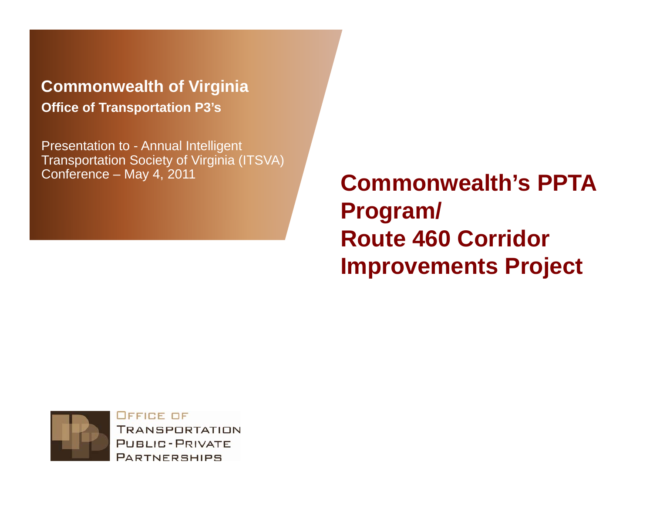**Commonwealth of Virginia Office of Transportation P3's**

Presentation to - Annual Intelligent Transportation Society of Virginia (ITSVA)<br>Conference – May 4, 2011

**Commonwealth's PPTA Program/ Route 460 Corridor Improvements Project** 



OFFICE OF **TRANSPORTATION PUBLIC-PRIVATE PARTNERSHIPS**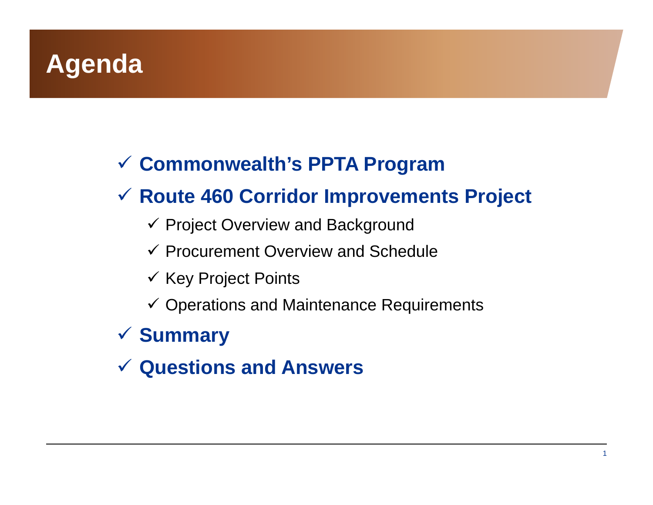# **Agenda**

#### **Commonwealth's PPTA Program**

#### **Route 460 Corridor Improvements Project**

- $\checkmark$  Project Overview and Background
- $\checkmark$  Procurement Overview and Schedule
- $\checkmark$  Key Project Points
- $\checkmark$  Operations and Maintenance Requirements

#### **Summary**

**Questions and Answers**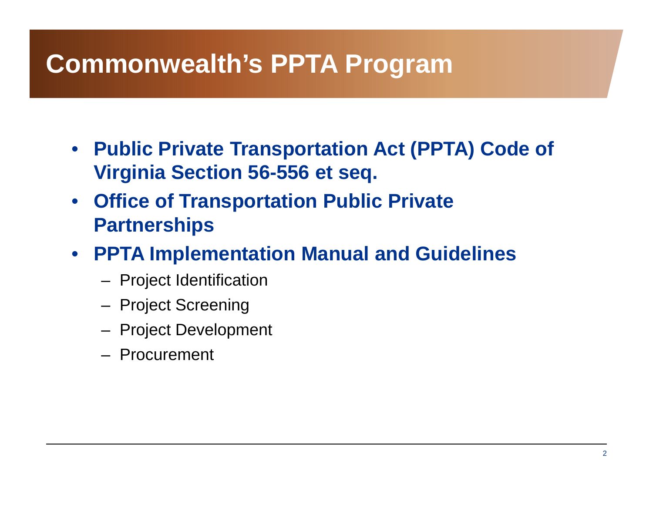# **Commonwealth's PPTA Program**

- **Public Private Transportation Act (PPTA) Code of Virginia Section 56-556 et seq.**
- **Office of Transportation Public Private P t hi ar tnerships**
- **PPTA Implementation Manual and Guidelines**
	- Project Identification
	- Project Screening
	- Project Development
	- Procurement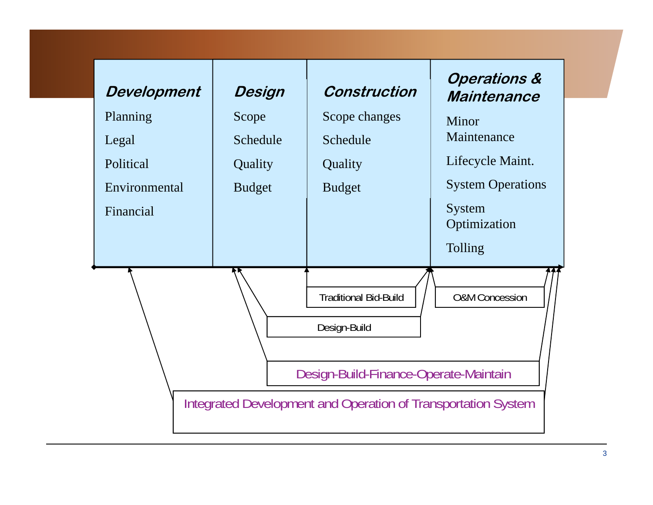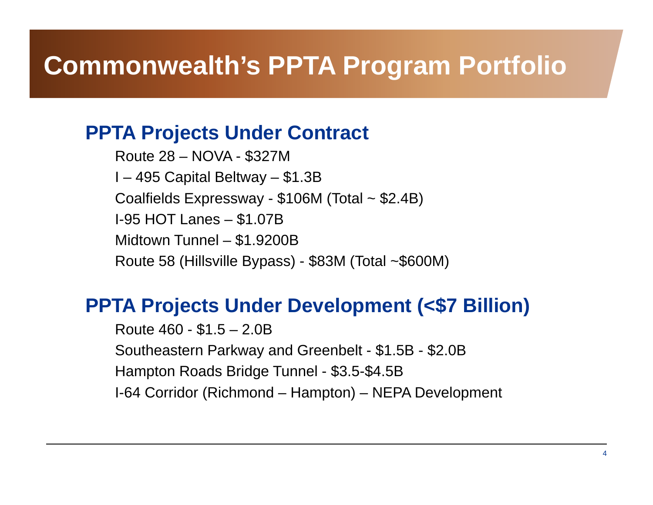## **Commonwealth's PPTA Program Portfolio**

#### **PPTA Projects Under Contract**

Route 28– NOVA - \$327M I – 495 Capital Beltway – \$1.3B Coalfields Expressway - \$106M (Total ~ \$2.4B) I-95 HOT Lanes – \$1.07B Midtown Tunnel – \$1.9200B Route 58 (Hillsville Bypass) - \$83M (Total ~\$600M)

#### **PPTA Projects Under Development (<\$7 Billion)**

Route 460 - \$1.5 – 2.0B Southeastern Parkway and Greenbelt - \$1.5B - \$2.0B Hampton Roads Bridge Tunnel - \$3.5-\$4.5B I-64 Corridor (Richmond – Hampton) – NEPA Development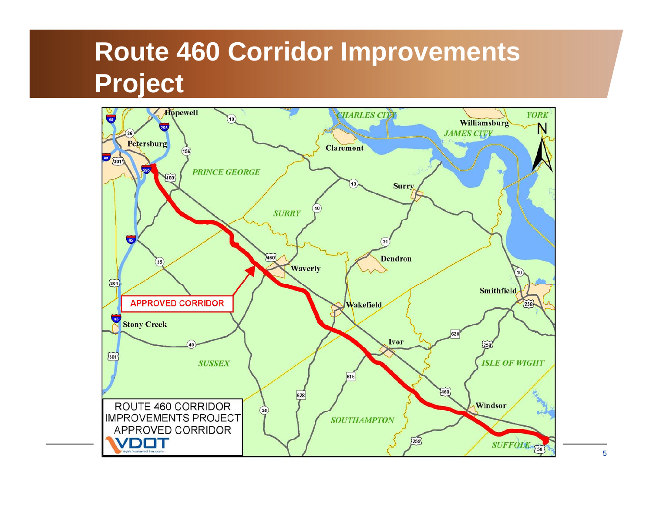# **Route 460 Corridor Improvements Pro ject**

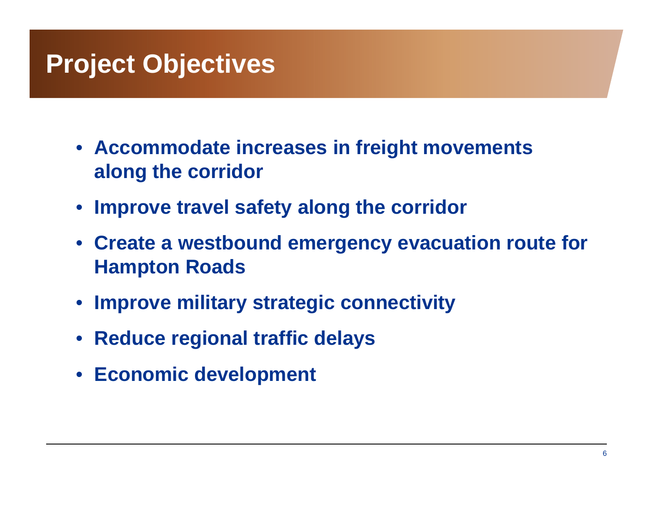## **Project Objectives**

- **Accommodate increases in freight movements along the corridor**
- **Improve travel safety along the corridor**
- **Create a westbound emergency evacuation route for Hampton Roads**
- **Improve military strategic connectivity**
- **Reduce regional traffic delays**
- **Economic development**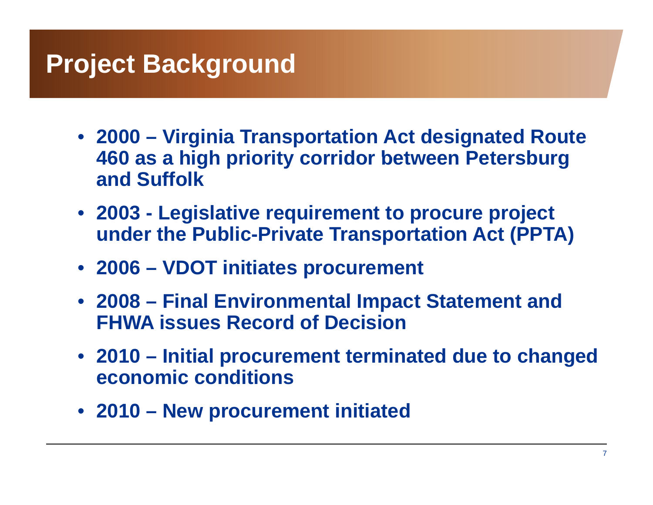## **Project Background**

- **2000 – Virginia Transportation Act designated Route 460 as <sup>a</sup> high priority corridor between Petersburg between and Suffolk**
- **2003 - Le g q p pj islative re quirement to procure pro ject under the Public-Private Transportation Act (PPTA)**
- **2006 – VDOT initiates procurement**
- **2008 – Final Environmental Impact Statement and FHWA issues Record of Decision**
- **2010 – Initial procurement terminated due to changed economic conditions**
- **2010 New procurement initiated –**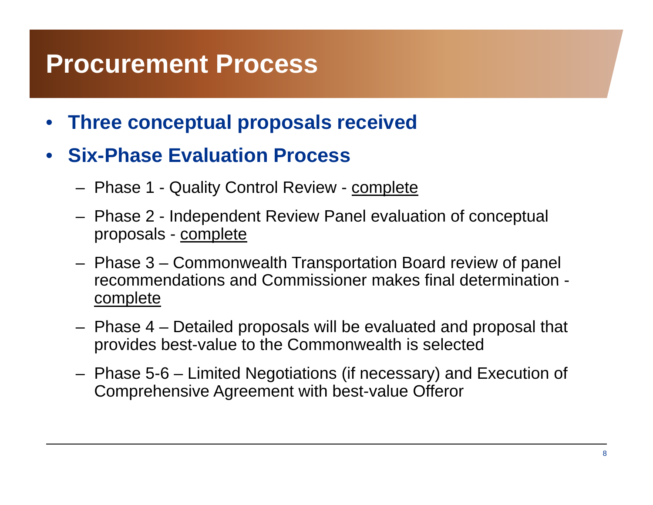#### **Procurement Process**

- •**Three conceptual proposals received**
- $\bullet$ **• Six-Phase Evaluation Process** 
	- Phase 1 Quality Control Review complete
	- Phase 2 -- Independent Review Panel evaluation of conceptual proposals - complete
	- Phase 3 Commonwealth Transportation Board review of panel recommendations and Commissioner makes final determination complete
	- Phase 4 Detailed proposals will be evaluated and proposal that provides best-value to the Commonwealth is selected
	- Phase 5-6 Limited Negotiations (if necessary) and Execution of Comprehensive Agreement with best-value Offeror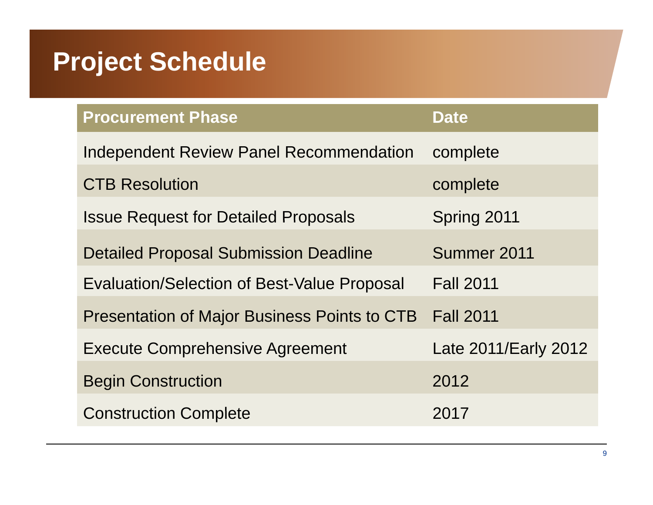# **Project Schedule**

| <b>Procurement Phase</b>                            | <b>Date</b>          |
|-----------------------------------------------------|----------------------|
| <b>Independent Review Panel Recommendation</b>      | complete             |
| <b>CTB Resolution</b>                               | complete             |
| <b>Issue Request for Detailed Proposals</b>         | Spring 2011          |
| <b>Detailed Proposal Submission Deadline</b>        | Summer 2011          |
| <b>Evaluation/Selection of Best-Value Proposal</b>  | <b>Fall 2011</b>     |
| <b>Presentation of Major Business Points to CTB</b> | <b>Fall 2011</b>     |
| <b>Execute Comprehensive Agreement</b>              | Late 2011/Early 2012 |
| <b>Begin Construction</b>                           | 2012                 |
| <b>Construction Complete</b>                        | 2017                 |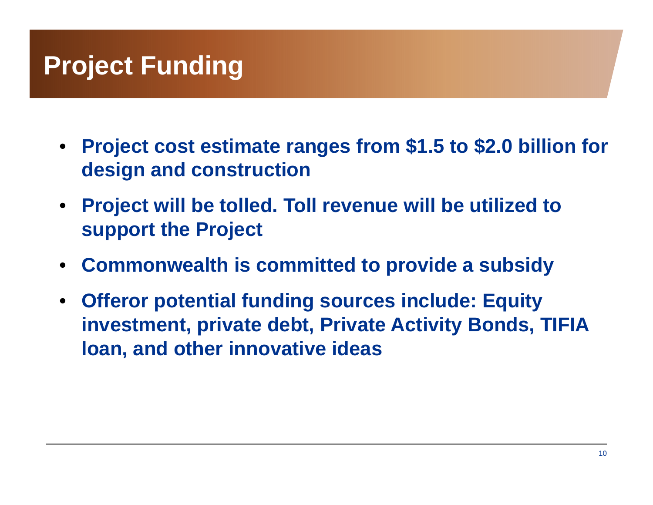# **Project Funding**

- **Project cost estimate ranges from \$1.5 to \$2.0 billion for design and construction**
- **Project will be tolled. Toll revenue will be utilized to support the Project**
- **Commonwealth is committed to provide a subsidy**
- **Offeror potential funding sources include: Equity investment, private debt, Private Activity Bonds, TIFIA loan and other innovative ideas loan,**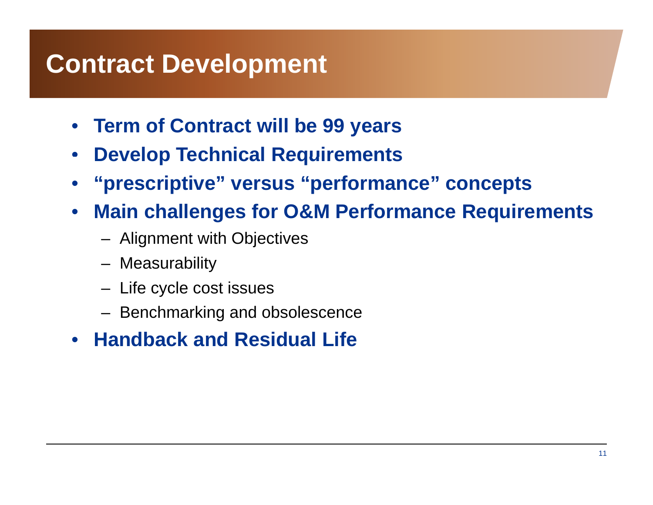## **Contract Development**

- **Term of Contract will be 99 years**
- $\bullet$ **Develop Technical Requirements**
- $\bullet$ **"prescriptive" versus "performance" concepts**
- $\bullet$  **Main challen g q es for O&M Performance Re quirements**
	- Alignment with Objectives
	- Measurability
	- Life cycle cost issues
	- Benchmarking and obsolescence
- $\bullet$ **Handback and Residual Life**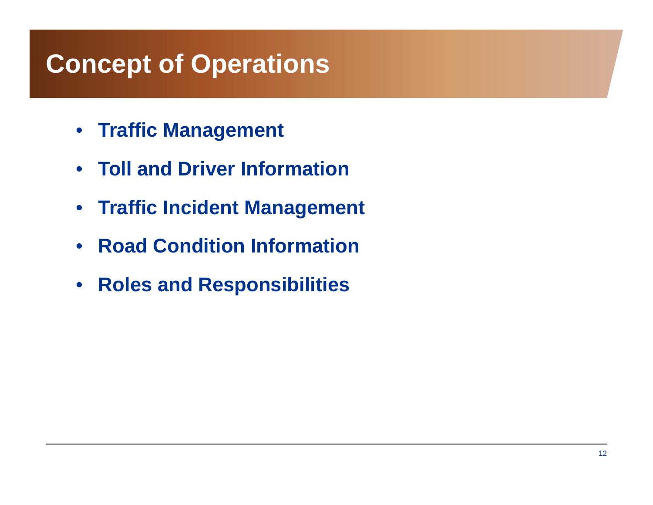## **Concept of Operations**

- **Traffic Management**
- **Toll and Driver Information**
- **Traffic Incident Management**
- •**Road Condition Information**
- $\bullet$ **Roles and Responsibilities**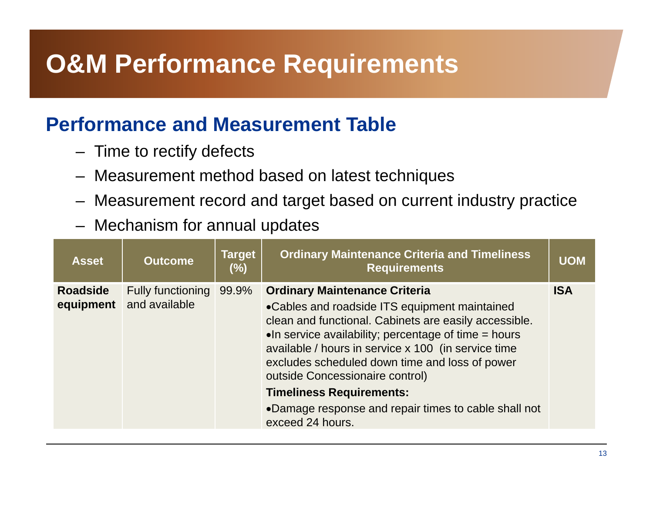# **O&M Performance Requirements**

#### **Performance and Measurement Table**

- Time to rectify defects
- Measurement method based on latest techniques
- Measurement record and target based on current industry practice
- Mechanism for annual updates

| <b>Asset</b>                 | <b>Outcome</b>                            | <b>Target</b><br>$(\%)$ | <b>Ordinary Maintenance Criteria and Timeliness</b><br><b>Requirements</b>                                                                                                                                                                                                                                                                                                                                                                                                 | <b>UOM</b> |
|------------------------------|-------------------------------------------|-------------------------|----------------------------------------------------------------------------------------------------------------------------------------------------------------------------------------------------------------------------------------------------------------------------------------------------------------------------------------------------------------------------------------------------------------------------------------------------------------------------|------------|
| <b>Roadside</b><br>equipment | <b>Fully functioning</b><br>and available | 99.9%                   | <b>Ordinary Maintenance Criteria</b><br>•Cables and roadside ITS equipment maintained<br>clean and functional. Cabinets are easily accessible.<br>$\bullet$ In service availability; percentage of time = hours<br>available / hours in service x 100 (in service time<br>excludes scheduled down time and loss of power<br>outside Concessionaire control)<br><b>Timeliness Requirements:</b><br>•Damage response and repair times to cable shall not<br>exceed 24 hours. | <b>ISA</b> |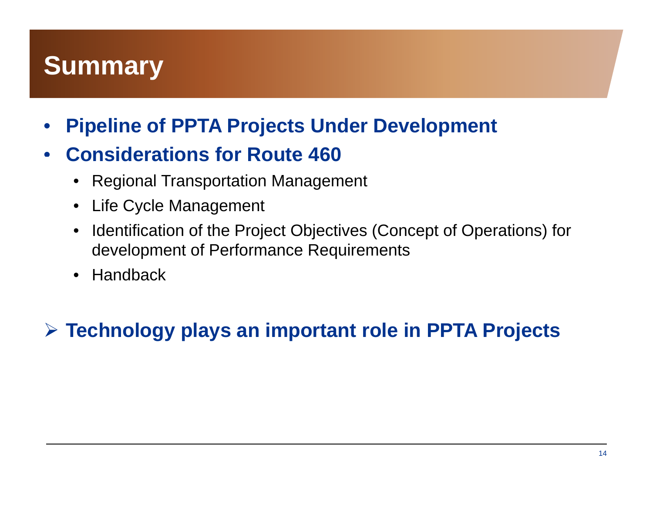# **Summary**

•**Pipeline of PPTA Projects Under Development**

#### $\bullet$ **Considerations for Route 460**

- $\bullet$ Regional Transportation Management
- Life Cycle Management
- $\bullet$  Identification of the Project Objectives (Concept of Operations) for development of Performance Requirements
- $\bullet$ Handback

#### **Technology plays an important role in PPTA Projects**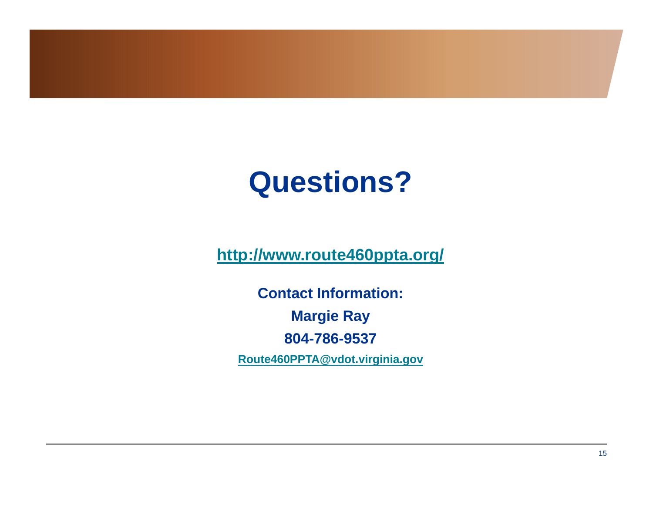# **Questions?**

**http://www.route460ppta.org/**

**Contact Information: Margie Ray 804-786-9537 Route460PPTA@vdot.virginia.gov**